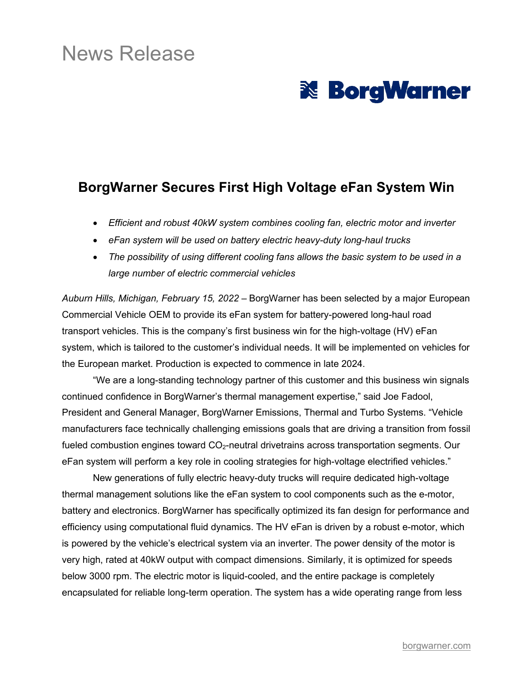## News Release

# **& BorgWarner**

### **BorgWarner Secures First High Voltage eFan System Win**

- *Efficient and robust 40kW system combines cooling fan, electric motor and inverter*
- *eFan system will be used on battery electric heavy-duty long-haul trucks*
- *The possibility of using different cooling fans allows the basic system to be used in a large number of electric commercial vehicles*

*Auburn Hills, Michigan, February 15, 2022* – BorgWarner has been selected by a major European Commercial Vehicle OEM to provide its eFan system for battery-powered long-haul road transport vehicles. This is the company's first business win for the high-voltage (HV) eFan system, which is tailored to the customer's individual needs. It will be implemented on vehicles for the European market. Production is expected to commence in late 2024.

"We are a long-standing technology partner of this customer and this business win signals continued confidence in BorgWarner's thermal management expertise," said Joe Fadool, President and General Manager, BorgWarner Emissions, Thermal and Turbo Systems. "Vehicle manufacturers face technically challenging emissions goals that are driving a transition from fossil fueled combustion engines toward CO<sub>2</sub>-neutral drivetrains across transportation segments. Our eFan system will perform a key role in cooling strategies for high-voltage electrified vehicles."

New generations of fully electric heavy-duty trucks will require dedicated high-voltage thermal management solutions like the eFan system to cool components such as the e-motor, battery and electronics. BorgWarner has specifically optimized its fan design for performance and efficiency using computational fluid dynamics. The HV eFan is driven by a robust e-motor, which is powered by the vehicle's electrical system via an inverter. The power density of the motor is very high, rated at 40kW output with compact dimensions. Similarly, it is optimized for speeds below 3000 rpm. The electric motor is liquid-cooled, and the entire package is completely encapsulated for reliable long-term operation. The system has a wide operating range from less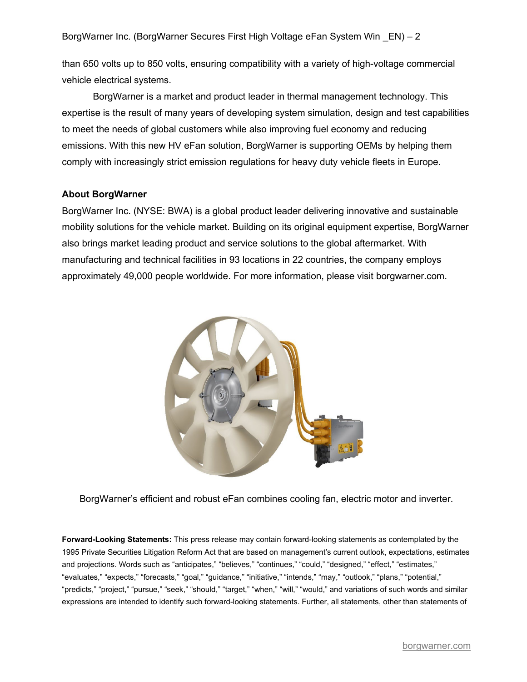BorgWarner Inc. (BorgWarner Secures First High Voltage eFan System Win \_EN) – 2

than 650 volts up to 850 volts, ensuring compatibility with a variety of high-voltage commercial vehicle electrical systems.

BorgWarner is a market and product leader in thermal management technology. This expertise is the result of many years of developing system simulation, design and test capabilities to meet the needs of global customers while also improving fuel economy and reducing emissions. With this new HV eFan solution, BorgWarner is supporting OEMs by helping them comply with increasingly strict emission regulations for heavy duty vehicle fleets in Europe.

#### **About BorgWarner**

BorgWarner Inc. (NYSE: BWA) is a global product leader delivering innovative and sustainable mobility solutions for the vehicle market. Building on its original equipment expertise, BorgWarner also brings market leading product and service solutions to the global aftermarket. With manufacturing and technical facilities in 93 locations in 22 countries, the company employs approximately 49,000 people worldwide. For more information, please visit borgwarner.com.



BorgWarner's efficient and robust eFan combines cooling fan, electric motor and inverter.

**Forward-Looking Statements:** This press release may contain forward-looking statements as contemplated by the 1995 Private Securities Litigation Reform Act that are based on management's current outlook, expectations, estimates and projections. Words such as "anticipates," "believes," "continues," "could," "designed," "effect," "estimates," "evaluates," "expects," "forecasts," "goal," "guidance," "initiative," "intends," "may," "outlook," "plans," "potential," "predicts," "project," "pursue," "seek," "should," "target," "when," "will," "would," and variations of such words and similar expressions are intended to identify such forward-looking statements. Further, all statements, other than statements of